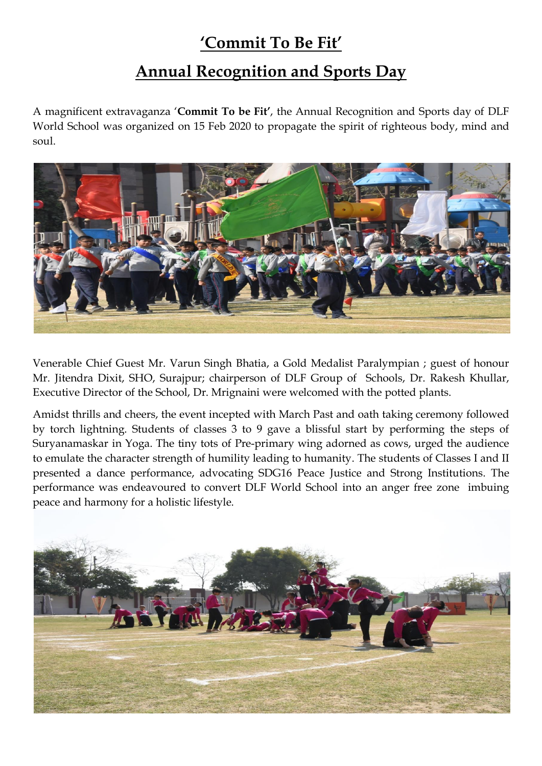## **'Commit To Be Fit'**

## **Annual Recognition and Sports Day**

A magnificent extravaganza '**Commit To be Fit'**, the Annual Recognition and Sports day of DLF World School was organized on 15 Feb 2020 to propagate the spirit of righteous body, mind and soul.



Venerable Chief Guest Mr. Varun Singh Bhatia, a Gold Medalist Paralympian ; guest of honour Mr. Jitendra Dixit, SHO, Surajpur; chairperson of DLF Group of Schools, Dr. Rakesh Khullar, Executive Director of the School, Dr. Mrignaini were welcomed with the potted plants.

Amidst thrills and cheers, the event incepted with March Past and oath taking ceremony followed by torch lightning. Students of classes 3 to 9 gave a blissful start by performing the steps of Suryanamaskar in Yoga. The tiny tots of Pre-primary wing adorned as cows, urged the audience to emulate the character strength of humility leading to humanity. The students of Classes I and II presented a dance performance, advocating SDG16 Peace Justice and Strong Institutions. The performance was endeavoured to convert DLF World School into an anger free zone imbuing peace and harmony for a holistic lifestyle.